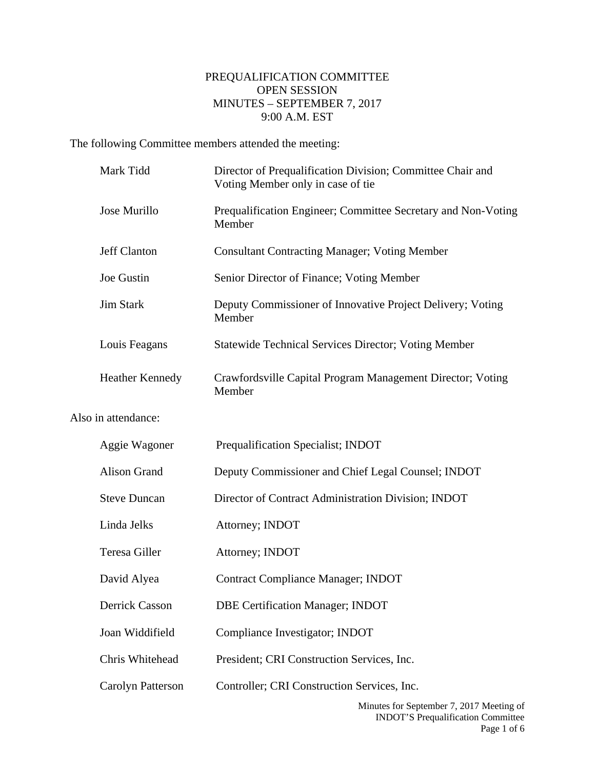## PREQUALIFICATION COMMITTEE OPEN SESSION MINUTES – SEPTEMBER 7, 2017 9:00 A.M. EST

The following Committee members attended the meeting:

Also

| Mark Tidd              | Director of Prequalification Division; Committee Chair and<br>Voting Member only in case of tie |
|------------------------|-------------------------------------------------------------------------------------------------|
| Jose Murillo           | Prequalification Engineer; Committee Secretary and Non-Voting<br>Member                         |
| Jeff Clanton           | <b>Consultant Contracting Manager; Voting Member</b>                                            |
| Joe Gustin             | Senior Director of Finance; Voting Member                                                       |
| <b>Jim Stark</b>       | Deputy Commissioner of Innovative Project Delivery; Voting<br>Member                            |
| Louis Feagans          | <b>Statewide Technical Services Director; Voting Member</b>                                     |
| <b>Heather Kennedy</b> | Crawfordsville Capital Program Management Director; Voting<br>Member                            |
| in attendance:         |                                                                                                 |
| Aggie Wagoner          | Prequalification Specialist; INDOT                                                              |
| <b>Alison Grand</b>    | Deputy Commissioner and Chief Legal Counsel; INDOT                                              |
| <b>Steve Duncan</b>    | Director of Contract Administration Division; INDOT                                             |
| Linda Jelks            | Attorney; INDOT                                                                                 |
| Teresa Giller          | Attorney; INDOT                                                                                 |
| David Alyea            | <b>Contract Compliance Manager; INDOT</b>                                                       |
| Derrick Casson         | <b>DBE Certification Manager; INDOT</b>                                                         |
| Joan Widdifield        | Compliance Investigator; INDOT                                                                  |
| Chris Whitehead        |                                                                                                 |
|                        | President; CRI Construction Services, Inc.                                                      |
| Carolyn Patterson      | Controller; CRI Construction Services, Inc.                                                     |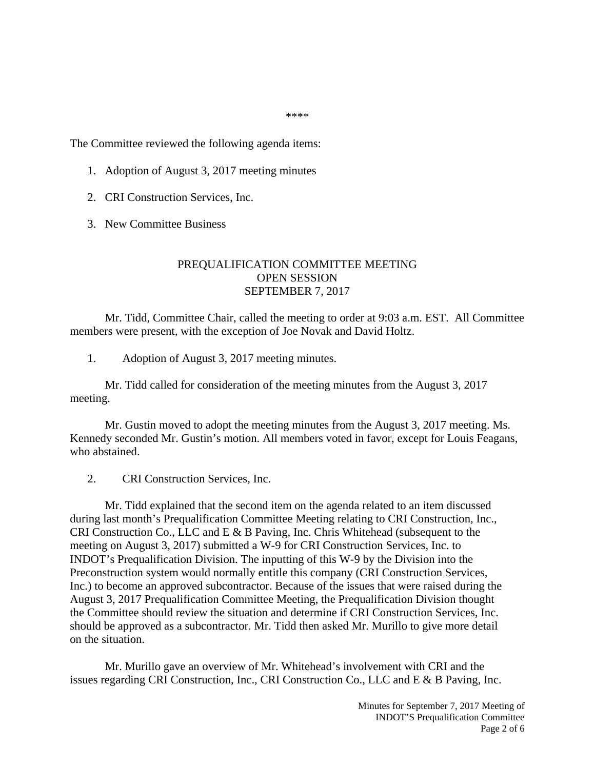\*\*\*\*

The Committee reviewed the following agenda items:

- 1. Adoption of August 3, 2017 meeting minutes
- 2. CRI Construction Services, Inc.
- 3. New Committee Business

## PREQUALIFICATION COMMITTEE MEETING OPEN SESSION SEPTEMBER 7, 2017

Mr. Tidd, Committee Chair, called the meeting to order at 9:03 a.m. EST. All Committee members were present, with the exception of Joe Novak and David Holtz.

1. Adoption of August 3, 2017 meeting minutes.

Mr. Tidd called for consideration of the meeting minutes from the August 3, 2017 meeting.

Mr. Gustin moved to adopt the meeting minutes from the August 3, 2017 meeting. Ms. Kennedy seconded Mr. Gustin's motion. All members voted in favor, except for Louis Feagans, who abstained.

2. CRI Construction Services, Inc.

Mr. Tidd explained that the second item on the agenda related to an item discussed during last month's Prequalification Committee Meeting relating to CRI Construction, Inc., CRI Construction Co., LLC and E & B Paving, Inc. Chris Whitehead (subsequent to the meeting on August 3, 2017) submitted a W-9 for CRI Construction Services, Inc. to INDOT's Prequalification Division. The inputting of this W-9 by the Division into the Preconstruction system would normally entitle this company (CRI Construction Services, Inc.) to become an approved subcontractor. Because of the issues that were raised during the August 3, 2017 Prequalification Committee Meeting, the Prequalification Division thought the Committee should review the situation and determine if CRI Construction Services, Inc. should be approved as a subcontractor. Mr. Tidd then asked Mr. Murillo to give more detail on the situation.

Mr. Murillo gave an overview of Mr. Whitehead's involvement with CRI and the issues regarding CRI Construction, Inc., CRI Construction Co., LLC and E & B Paving, Inc.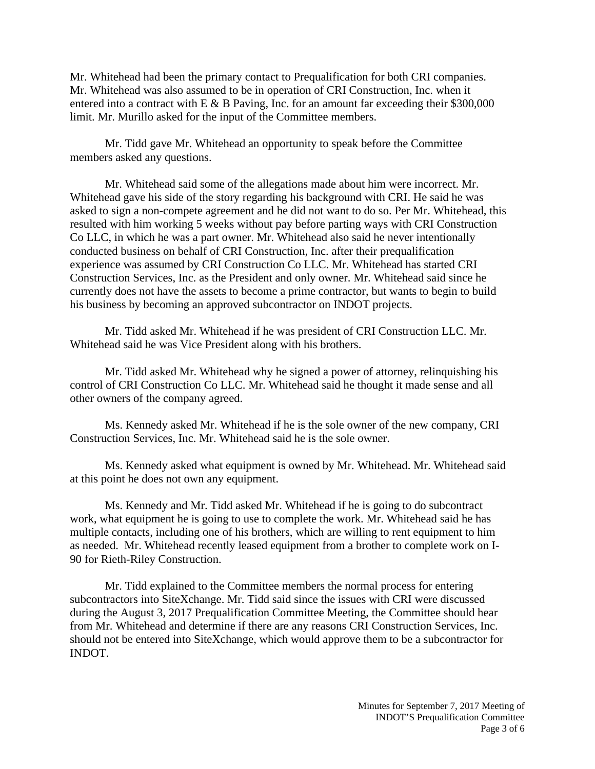Mr. Whitehead had been the primary contact to Prequalification for both CRI companies. Mr. Whitehead was also assumed to be in operation of CRI Construction, Inc. when it entered into a contract with  $E \& B$  Paving, Inc. for an amount far exceeding their \$300,000 limit. Mr. Murillo asked for the input of the Committee members.

Mr. Tidd gave Mr. Whitehead an opportunity to speak before the Committee members asked any questions.

Mr. Whitehead said some of the allegations made about him were incorrect. Mr. Whitehead gave his side of the story regarding his background with CRI. He said he was asked to sign a non-compete agreement and he did not want to do so. Per Mr. Whitehead, this resulted with him working 5 weeks without pay before parting ways with CRI Construction Co LLC, in which he was a part owner. Mr. Whitehead also said he never intentionally conducted business on behalf of CRI Construction, Inc. after their prequalification experience was assumed by CRI Construction Co LLC. Mr. Whitehead has started CRI Construction Services, Inc. as the President and only owner. Mr. Whitehead said since he currently does not have the assets to become a prime contractor, but wants to begin to build his business by becoming an approved subcontractor on INDOT projects.

Mr. Tidd asked Mr. Whitehead if he was president of CRI Construction LLC. Mr. Whitehead said he was Vice President along with his brothers.

Mr. Tidd asked Mr. Whitehead why he signed a power of attorney, relinquishing his control of CRI Construction Co LLC. Mr. Whitehead said he thought it made sense and all other owners of the company agreed.

Ms. Kennedy asked Mr. Whitehead if he is the sole owner of the new company, CRI Construction Services, Inc. Mr. Whitehead said he is the sole owner.

Ms. Kennedy asked what equipment is owned by Mr. Whitehead. Mr. Whitehead said at this point he does not own any equipment.

Ms. Kennedy and Mr. Tidd asked Mr. Whitehead if he is going to do subcontract work, what equipment he is going to use to complete the work. Mr. Whitehead said he has multiple contacts, including one of his brothers, which are willing to rent equipment to him as needed. Mr. Whitehead recently leased equipment from a brother to complete work on I-90 for Rieth-Riley Construction.

Mr. Tidd explained to the Committee members the normal process for entering subcontractors into SiteXchange. Mr. Tidd said since the issues with CRI were discussed during the August 3, 2017 Prequalification Committee Meeting, the Committee should hear from Mr. Whitehead and determine if there are any reasons CRI Construction Services, Inc. should not be entered into SiteXchange, which would approve them to be a subcontractor for INDOT.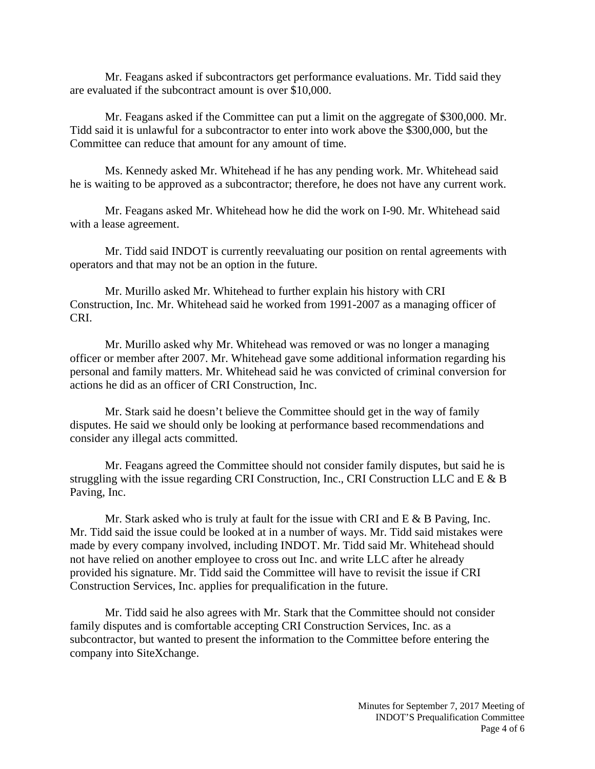Mr. Feagans asked if subcontractors get performance evaluations. Mr. Tidd said they are evaluated if the subcontract amount is over \$10,000.

Mr. Feagans asked if the Committee can put a limit on the aggregate of \$300,000. Mr. Tidd said it is unlawful for a subcontractor to enter into work above the \$300,000, but the Committee can reduce that amount for any amount of time.

Ms. Kennedy asked Mr. Whitehead if he has any pending work. Mr. Whitehead said he is waiting to be approved as a subcontractor; therefore, he does not have any current work.

Mr. Feagans asked Mr. Whitehead how he did the work on I-90. Mr. Whitehead said with a lease agreement.

Mr. Tidd said INDOT is currently reevaluating our position on rental agreements with operators and that may not be an option in the future.

Mr. Murillo asked Mr. Whitehead to further explain his history with CRI Construction, Inc. Mr. Whitehead said he worked from 1991-2007 as a managing officer of CRI.

Mr. Murillo asked why Mr. Whitehead was removed or was no longer a managing officer or member after 2007. Mr. Whitehead gave some additional information regarding his personal and family matters. Mr. Whitehead said he was convicted of criminal conversion for actions he did as an officer of CRI Construction, Inc.

Mr. Stark said he doesn't believe the Committee should get in the way of family disputes. He said we should only be looking at performance based recommendations and consider any illegal acts committed.

Mr. Feagans agreed the Committee should not consider family disputes, but said he is struggling with the issue regarding CRI Construction, Inc., CRI Construction LLC and E & B Paving, Inc.

Mr. Stark asked who is truly at fault for the issue with CRI and  $E \& B$  Paving, Inc. Mr. Tidd said the issue could be looked at in a number of ways. Mr. Tidd said mistakes were made by every company involved, including INDOT. Mr. Tidd said Mr. Whitehead should not have relied on another employee to cross out Inc. and write LLC after he already provided his signature. Mr. Tidd said the Committee will have to revisit the issue if CRI Construction Services, Inc. applies for prequalification in the future.

Mr. Tidd said he also agrees with Mr. Stark that the Committee should not consider family disputes and is comfortable accepting CRI Construction Services, Inc. as a subcontractor, but wanted to present the information to the Committee before entering the company into SiteXchange.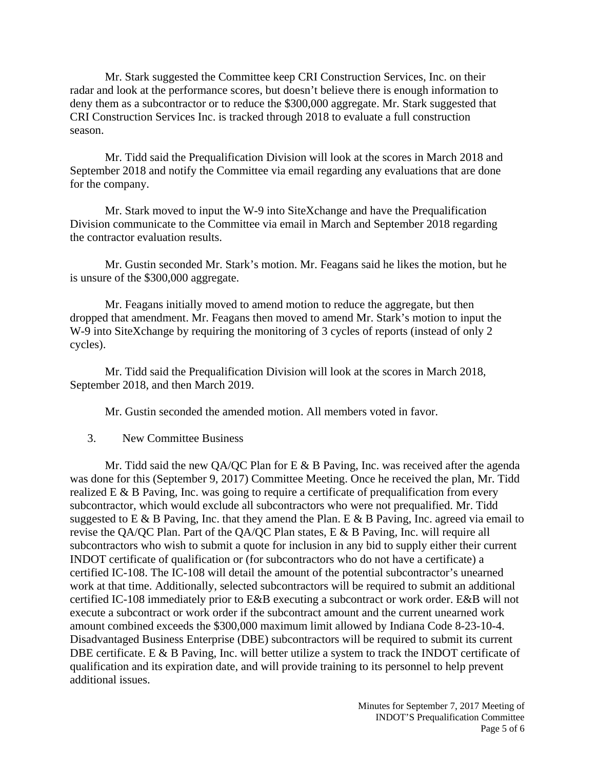Mr. Stark suggested the Committee keep CRI Construction Services, Inc. on their radar and look at the performance scores, but doesn't believe there is enough information to deny them as a subcontractor or to reduce the \$300,000 aggregate. Mr. Stark suggested that CRI Construction Services Inc. is tracked through 2018 to evaluate a full construction season.

Mr. Tidd said the Prequalification Division will look at the scores in March 2018 and September 2018 and notify the Committee via email regarding any evaluations that are done for the company.

Mr. Stark moved to input the W-9 into SiteXchange and have the Prequalification Division communicate to the Committee via email in March and September 2018 regarding the contractor evaluation results.

Mr. Gustin seconded Mr. Stark's motion. Mr. Feagans said he likes the motion, but he is unsure of the \$300,000 aggregate.

Mr. Feagans initially moved to amend motion to reduce the aggregate, but then dropped that amendment. Mr. Feagans then moved to amend Mr. Stark's motion to input the W-9 into SiteXchange by requiring the monitoring of 3 cycles of reports (instead of only 2 cycles).

Mr. Tidd said the Prequalification Division will look at the scores in March 2018, September 2018, and then March 2019.

Mr. Gustin seconded the amended motion. All members voted in favor.

3. New Committee Business

Mr. Tidd said the new QA/QC Plan for E  $\&$  B Paving, Inc. was received after the agenda was done for this (September 9, 2017) Committee Meeting. Once he received the plan, Mr. Tidd realized  $E \& B$  Paving, Inc. was going to require a certificate of prequalification from every subcontractor, which would exclude all subcontractors who were not prequalified. Mr. Tidd suggested to E & B Paving, Inc. that they amend the Plan. E & B Paving, Inc. agreed via email to revise the QA/QC Plan. Part of the QA/QC Plan states, E & B Paving, Inc. will require all subcontractors who wish to submit a quote for inclusion in any bid to supply either their current INDOT certificate of qualification or (for subcontractors who do not have a certificate) a certified IC-108. The IC-108 will detail the amount of the potential subcontractor's unearned work at that time. Additionally, selected subcontractors will be required to submit an additional certified IC-108 immediately prior to E&B executing a subcontract or work order. E&B will not execute a subcontract or work order if the subcontract amount and the current unearned work amount combined exceeds the \$300,000 maximum limit allowed by Indiana Code 8-23-10-4. Disadvantaged Business Enterprise (DBE) subcontractors will be required to submit its current DBE certificate. E & B Paving, Inc. will better utilize a system to track the INDOT certificate of qualification and its expiration date, and will provide training to its personnel to help prevent additional issues.